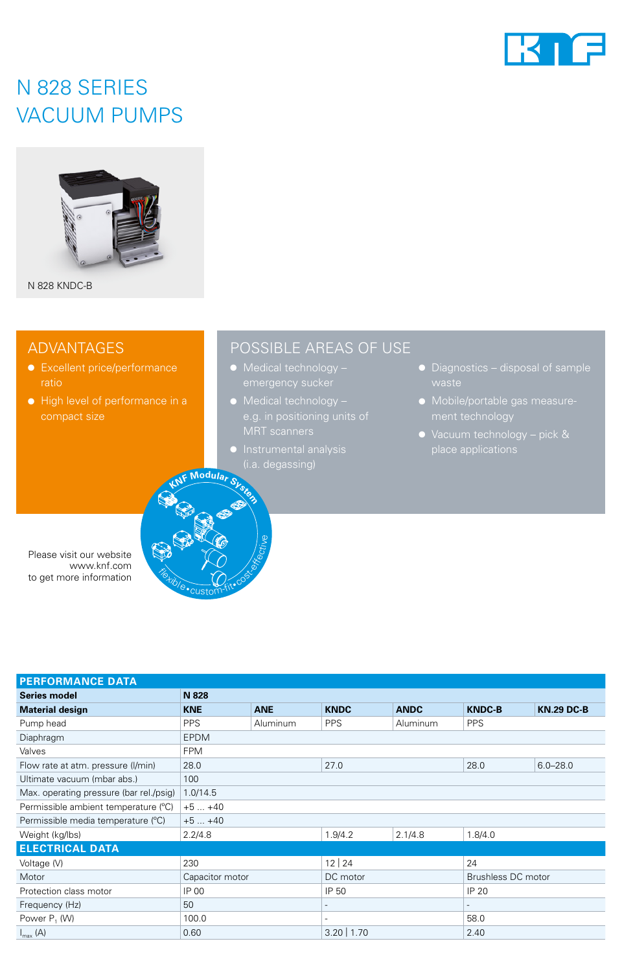

### N 828 SERIES VACUUM PUMPS



N 828 KNDC-B

### ADVANTAGES

- Excellent price/performance ratio
- High level of performance in a compact size

### POSSIBLE AREAS OF USE

- Medical technology –
- Medical technology –
- Instrumental analysis (i.a. degassing) **<sup>K</sup>N<sup>F</sup> <sup>M</sup>odula<sup>r</sup> <sup>S</sup>yste<sup>m</sup>**
- Diagnostics disposal of sample
- Mobile/portable gas measurement technology
- place applications

Please visit our website www.knf.com to get more information



| <b>PERFORMANCE DATA</b>                 |                 |            |                          |             |                          |                   |
|-----------------------------------------|-----------------|------------|--------------------------|-------------|--------------------------|-------------------|
| <b>Series model</b>                     | N 828           |            |                          |             |                          |                   |
| <b>Material design</b>                  | <b>KNE</b>      | <b>ANE</b> | <b>KNDC</b>              | <b>ANDC</b> | <b>KNDC-B</b>            | <b>KN.29 DC-B</b> |
| Pump head                               | <b>PPS</b>      | Aluminum   | <b>PPS</b>               | Aluminum    | <b>PPS</b>               |                   |
| Diaphragm                               | <b>EPDM</b>     |            |                          |             |                          |                   |
| Valves                                  | <b>FPM</b>      |            |                          |             |                          |                   |
| Flow rate at atm. pressure (I/min)      | 28.0            |            | 27.0                     |             | 28.0                     | $6.0 - 28.0$      |
| Ultimate vacuum (mbar abs.)             | 100             |            |                          |             |                          |                   |
| Max. operating pressure (bar rel./psig) | 1.0/14.5        |            |                          |             |                          |                   |
| Permissible ambient temperature (°C)    | $+5+40$         |            |                          |             |                          |                   |
| Permissible media temperature (°C)      | $+5+40$         |            |                          |             |                          |                   |
| Weight (kg/lbs)                         | 2.2/4.8         |            | 1.9/4.2                  | 2.1/4.8     | 1.8/4.0                  |                   |
| <b>ELECTRICAL DATA</b>                  |                 |            |                          |             |                          |                   |
| Voltage (V)                             | 230             |            | 12 24                    |             | 24                       |                   |
| Motor                                   | Capacitor motor |            | DC motor                 |             | Brushless DC motor       |                   |
| Protection class motor                  | IP 00           |            | IP 50                    |             | <b>IP 20</b>             |                   |
| Frequency (Hz)                          | 50              |            |                          |             | $\overline{\phantom{a}}$ |                   |
| Power P <sub>1</sub> (W)                | 100.0           |            | $\overline{\phantom{a}}$ |             | 58.0                     |                   |
| $I_{\text{max}}(A)$                     | 0.60            |            | $3.20$   1.70            |             | 2.40                     |                   |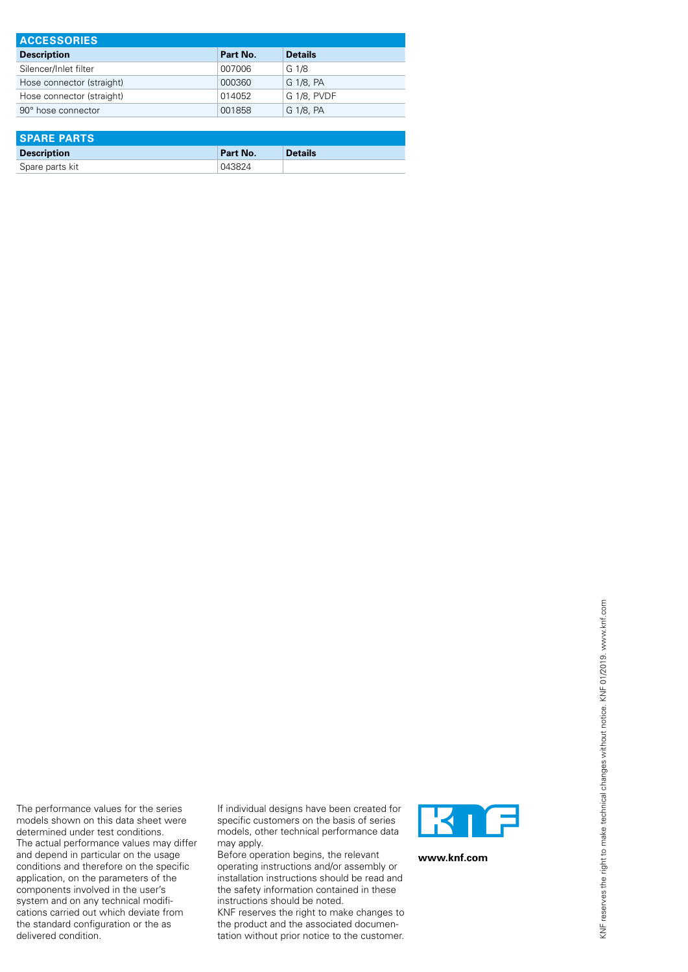| <b>ACCESSORIES</b>        |          |                |  |  |
|---------------------------|----------|----------------|--|--|
| <b>Description</b>        | Part No. | <b>Details</b> |  |  |
| Silencer/Inlet filter     | 007006   | G 1/8          |  |  |
| Hose connector (straight) | 000360   | G 1/8, PA      |  |  |
| Hose connector (straight) | 014052   | G 1/8, PVDF    |  |  |
| 90° hose connector        | 001858   | G 1/8, PA      |  |  |

| <b>SPARE PARTS</b> |          |                |  |  |
|--------------------|----------|----------------|--|--|
| <b>Description</b> | Part No. | <b>Details</b> |  |  |
| Spare parts kit    | 043824   |                |  |  |

The performance values for the series models shown on this data sheet were determined under test conditions. The actual performance values may differ and depend in particular on the usage conditions and therefore on the specific application, on the parameters of the components involved in the user's If individual designs have been created for specific customers on the basis of series models, other technical performance data may apply. Before operation begins, the relevant operating instructions and/or assembly or installation instructions should be read and

system and on any technical modifications carried out which deviate from the standard configuration or the as

delivered condition.

the safety information contained in these instructions should be noted. KNF reserves the right to make changes to

the product and the associated documentation without prior notice to the customer.



**www.knf.com**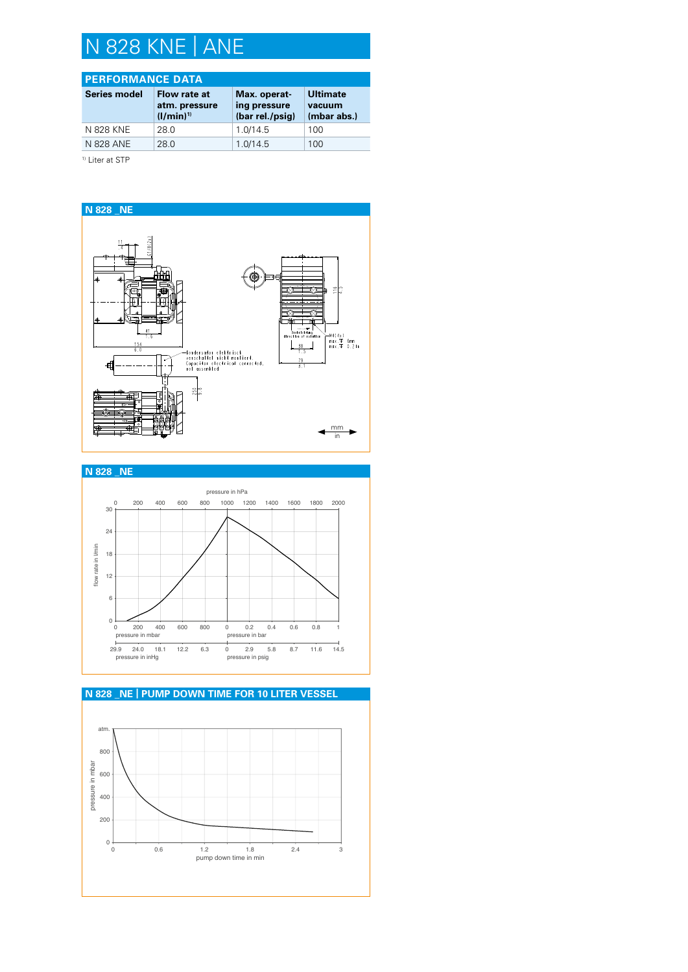# N 828 KNE | ANE

### **PERFORMANCE DATA**

| <b>Series model</b> | Flow rate at<br>atm. pressure<br>$(1/min)^{1}$ | Max. operat-<br>ing pressure<br>(bar rel./psig) | <b>Ultimate</b><br>vacuum<br>(mbar abs.) |
|---------------------|------------------------------------------------|-------------------------------------------------|------------------------------------------|
| N 828 KNE           | 28.0                                           | 1.0/14.5                                        | 100                                      |
| N 828 ANE           | 28.0                                           | 1.0/14.5                                        | 100                                      |
|                     |                                                |                                                 |                                          |

<sup>1)</sup> Liter at STP





# atm. **N 828 \_NE | PUMP DOWN TIME FOR 10 LITER VESSEL**